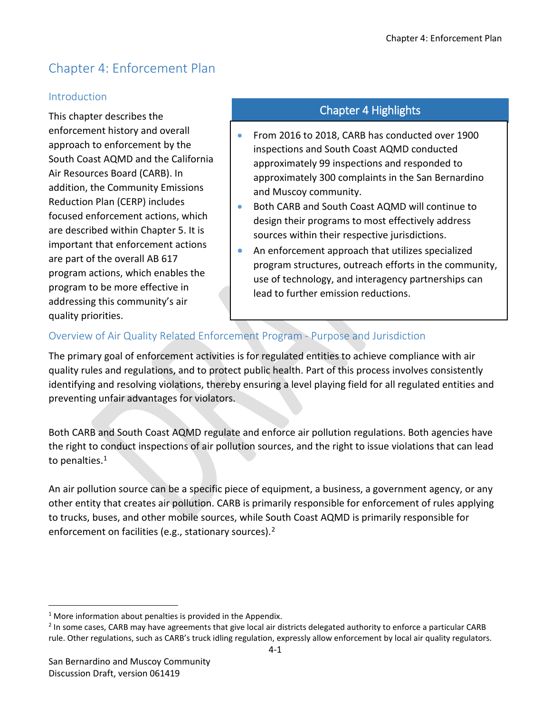# Chapter 4: Enforcement Plan

### **Introduction**

This chapter describes the enforcement history and overall approach to enforcement by the South Coast AQMD and the California Air Resources Board (CARB). In addition, the Community Emissions Reduction Plan (CERP) includes focused enforcement actions, which are described within Chapter 5. It is important that enforcement actions are part of the overall AB 617 program actions, which enables the program to be more effective in addressing this community's air quality priorities.

# Chapter 4 Highlights

- From 2016 to 2018, CARB has conducted over 1900 inspections and South Coast AQMD conducted approximately 99 inspections and responded to approximately 300 complaints in the San Bernardino and Muscoy community.
- Both CARB and South Coast AQMD will continue to design their programs to most effectively address sources within their respective jurisdictions.
- An enforcement approach that utilizes specialized program structures, outreach efforts in the community, use of technology, and interagency partnerships can lead to further emission reductions.

## Overview of Air Quality Related Enforcement Program - Purpose and Jurisdiction

The primary goal of enforcement activities is for regulated entities to achieve compliance with air quality rules and regulations, and to protect public health. Part of this process involves consistently identifying and resolving violations, thereby ensuring a level playing field for all regulated entities and preventing unfair advantages for violators.

Both CARB and South Coast AQMD regulate and enforce air pollution regulations. Both agencies have the right to conduct inspections of air pollution sources, and the right to issue violations that can lead to penalties.<sup>[1](#page-0-0)</sup>

An air pollution source can be a specific piece of equipment, a business, a government agency, or any other entity that creates air pollution. CARB is primarily responsible for enforcement of rules applying to trucks, buses, and other mobile sources, while South Coast AQMD is primarily responsible for enforcement on facilities (e.g., stationary sources).<sup>[2](#page-0-1)</sup>

l

<span id="page-0-0"></span> $1$  More information about penalties is provided in the Appendix.

<span id="page-0-1"></span><sup>&</sup>lt;sup>2</sup> In some cases, CARB may have agreements that give local air districts delegated authority to enforce a particular CARB rule. Other regulations, such as CARB's truck idling regulation, expressly allow enforcement by local air quality regulators.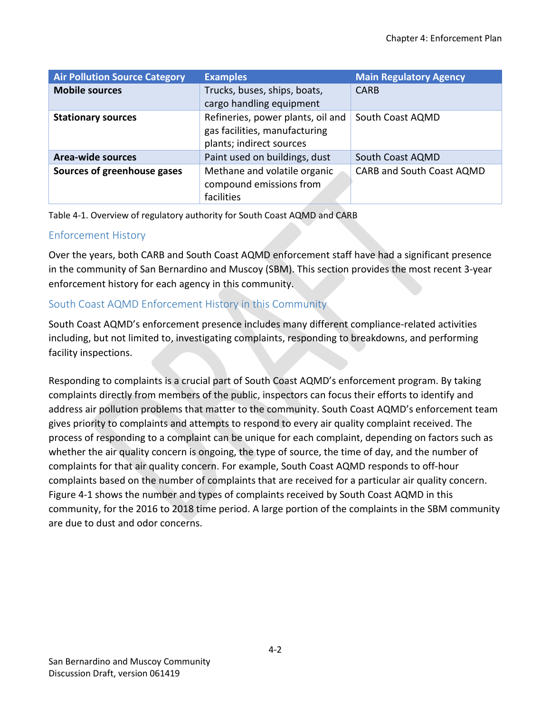| <b>Air Pollution Source Category</b> | <b>Examples</b>                                                                                | <b>Main Regulatory Agency</b> |
|--------------------------------------|------------------------------------------------------------------------------------------------|-------------------------------|
| <b>Mobile sources</b>                | Trucks, buses, ships, boats,<br>cargo handling equipment                                       | <b>CARB</b>                   |
| <b>Stationary sources</b>            | Refineries, power plants, oil and<br>gas facilities, manufacturing<br>plants; indirect sources | South Coast AQMD              |
| <b>Area-wide sources</b>             | Paint used on buildings, dust                                                                  | South Coast AQMD              |
| Sources of greenhouse gases          | Methane and volatile organic<br>compound emissions from<br>facilities                          | CARB and South Coast AQMD     |

Table 4-1. Overview of regulatory authority for South Coast AQMD and CARB

## Enforcement History

Over the years, both CARB and South Coast AQMD enforcement staff have had a significant presence in the community of San Bernardino and Muscoy (SBM). This section provides the most recent 3-year enforcement history for each agency in this community.

## South Coast AQMD Enforcement History in this Community

South Coast AQMD's enforcement presence includes many different compliance-related activities including, but not limited to, investigating complaints, responding to breakdowns, and performing facility inspections.

Responding to complaints is a crucial part of South Coast AQMD's enforcement program. By taking complaints directly from members of the public, inspectors can focus their efforts to identify and address air pollution problems that matter to the community. South Coast AQMD's enforcement team gives priority to complaints and attempts to respond to every air quality complaint received. The process of responding to a complaint can be unique for each complaint, depending on factors such as whether the air quality concern is ongoing, the type of source, the time of day, and the number of complaints for that air quality concern. For example, South Coast AQMD responds to off-hour complaints based on the number of complaints that are received for a particular air quality concern. [Figure 4-1](#page-2-0) shows the number and types of complaints received by South Coast AQMD in this community, for the 2016 to 2018 time period. A large portion of the complaints in the SBM community are due to dust and odor concerns.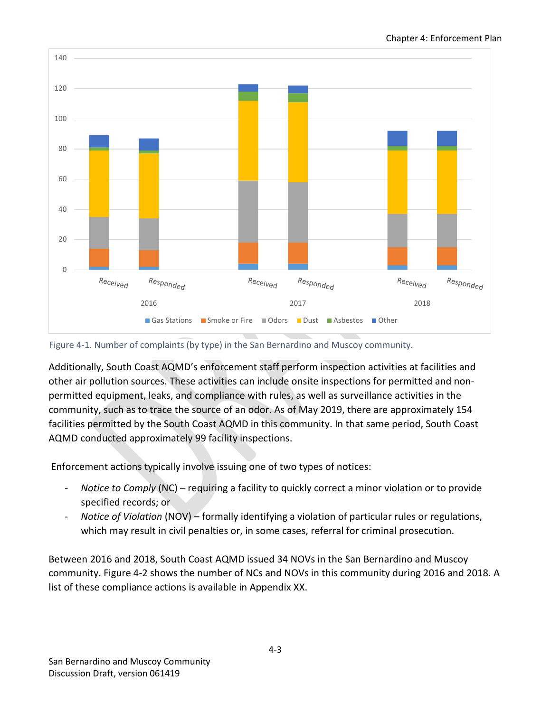

<span id="page-2-0"></span>Figure 4-1. Number of complaints (by type) in the San Bernardino and Muscoy community.

Additionally, South Coast AQMD's enforcement staff perform inspection activities at facilities and other air pollution sources. These activities can include onsite inspections for permitted and nonpermitted equipment, leaks, and compliance with rules, as well as surveillance activities in the community, such as to trace the source of an odor. As of May 2019, there are approximately 154 facilities permitted by the South Coast AQMD in this community. In that same period, South Coast AQMD conducted approximately 99 facility inspections.

Enforcement actions typically involve issuing one of two types of notices:

- *Notice to Comply* (NC) requiring a facility to quickly correct a minor violation or to provide specified records; or
- *Notice of Violation* (NOV) formally identifying a violation of particular rules or regulations, which may result in civil penalties or, in some cases, referral for criminal prosecution.

Between 2016 and 2018, South Coast AQMD issued 34 NOVs in the San Bernardino and Muscoy community. Figure 4-2 shows the number of NCs and NOVs in this community during 2016 and 2018. A list of these compliance actions is available in Appendix XX.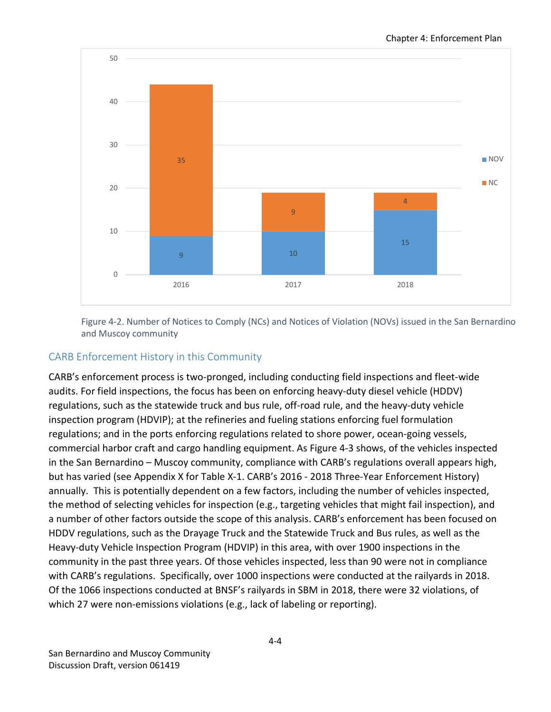

Figure 4-2. Number of Notices to Comply (NCs) and Notices of Violation (NOVs) issued in the San Bernardino and Muscoy community

### CARB Enforcement History in this Community

CARB's enforcement process is two-pronged, including conducting field inspections and fleet-wide audits. For field inspections, the focus has been on enforcing heavy-duty diesel vehicle (HDDV) regulations, such as the statewide truck and bus rule, off-road rule, and the heavy-duty vehicle inspection program (HDVIP); at the refineries and fueling stations enforcing fuel formulation regulations; and in the ports enforcing regulations related to shore power, ocean-going vessels, commercial harbor craft and cargo handling equipment. As Figure 4-3 shows, of the vehicles inspected in the San Bernardino – Muscoy community, compliance with CARB's regulations overall appears high, but has varied (see Appendix X for Table X-1. CARB's 2016 - 2018 Three-Year Enforcement History) annually. This is potentially dependent on a few factors, including the number of vehicles inspected, the method of selecting vehicles for inspection (e.g., targeting vehicles that might fail inspection), and a number of other factors outside the scope of this analysis. CARB's enforcement has been focused on HDDV regulations, such as the Drayage Truck and the Statewide Truck and Bus rules, as well as the Heavy-duty Vehicle Inspection Program (HDVIP) in this area, with over 1900 inspections in the community in the past three years. Of those vehicles inspected, less than 90 were not in compliance with CARB's regulations. Specifically, over 1000 inspections were conducted at the railyards in 2018. Of the 1066 inspections conducted at BNSF's railyards in SBM in 2018, there were 32 violations, of which 27 were non-emissions violations (e.g., lack of labeling or reporting).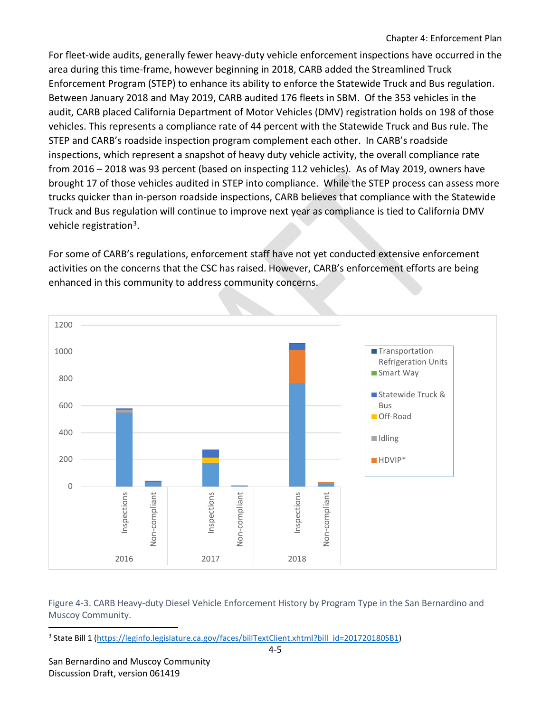For fleet-wide audits, generally fewer heavy-duty vehicle enforcement inspections have occurred in the area during this time-frame, however beginning in 2018, CARB added the Streamlined Truck Enforcement Program (STEP) to enhance its ability to enforce the Statewide Truck and Bus regulation. Between January 2018 and May 2019, CARB audited 176 fleets in SBM. Of the 353 vehicles in the audit, CARB placed California Department of Motor Vehicles (DMV) registration holds on 198 of those vehicles. This represents a compliance rate of 44 percent with the Statewide Truck and Bus rule. The STEP and CARB's roadside inspection program complement each other. In CARB's roadside inspections, which represent a snapshot of heavy duty vehicle activity, the overall compliance rate from 2016 – 2018 was 93 percent (based on inspecting 112 vehicles). As of May 2019, owners have brought 17 of those vehicles audited in STEP into compliance. While the STEP process can assess more trucks quicker than in-person roadside inspections, CARB believes that compliance with the Statewide Truck and Bus regulation will continue to improve next year as compliance is tied to California DMV vehicle registration<sup>[3](#page-4-0)</sup>.

For some of CARB's regulations, enforcement staff have not yet conducted extensive enforcement activities on the concerns that the CSC has raised. However, CARB's enforcement efforts are being enhanced in this community to address community concerns.



Figure 4-3. CARB Heavy-duty Diesel Vehicle Enforcement History by Program Type in the San Bernardino and Muscoy Community.

 $\overline{\phantom{a}}$ 

<span id="page-4-0"></span><sup>&</sup>lt;sup>3</sup> State Bill 1 [\(https://leginfo.legislature.ca.gov/faces/billTextClient.xhtml?bill\\_id=201720180SB1\)](https://leginfo.legislature.ca.gov/faces/billTextClient.xhtml?bill_id=201720180SB1)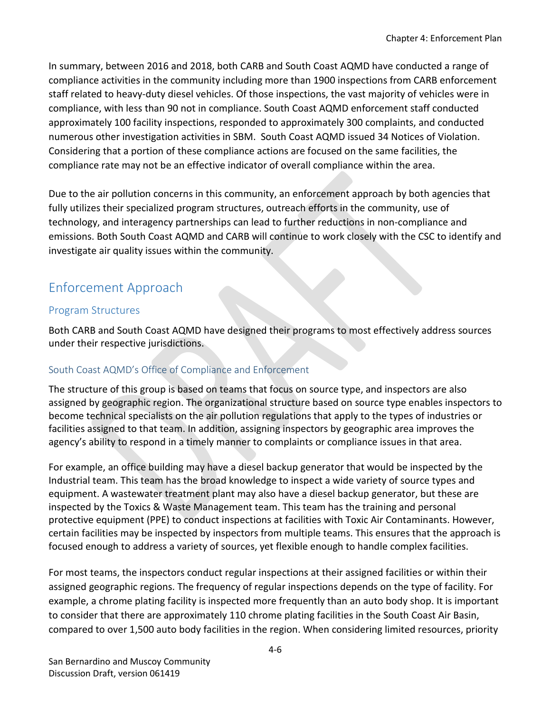In summary, between 2016 and 2018, both CARB and South Coast AQMD have conducted a range of compliance activities in the community including more than 1900 inspections from CARB enforcement staff related to heavy-duty diesel vehicles. Of those inspections, the vast majority of vehicles were in compliance, with less than 90 not in compliance. South Coast AQMD enforcement staff conducted approximately 100 facility inspections, responded to approximately 300 complaints, and conducted numerous other investigation activities in SBM. South Coast AQMD issued 34 Notices of Violation. Considering that a portion of these compliance actions are focused on the same facilities, the compliance rate may not be an effective indicator of overall compliance within the area.

Due to the air pollution concerns in this community, an enforcement approach by both agencies that fully utilizes their specialized program structures, outreach efforts in the community, use of technology, and interagency partnerships can lead to further reductions in non-compliance and emissions. Both South Coast AQMD and CARB will continue to work closely with the CSC to identify and investigate air quality issues within the community.

# Enforcement Approach

### Program Structures

Both CARB and South Coast AQMD have designed their programs to most effectively address sources under their respective jurisdictions.

## South Coast AQMD's Office of Compliance and Enforcement

The structure of this group is based on teams that focus on source type, and inspectors are also assigned by geographic region. The organizational structure based on source type enables inspectors to become technical specialists on the air pollution regulations that apply to the types of industries or facilities assigned to that team. In addition, assigning inspectors by geographic area improves the agency's ability to respond in a timely manner to complaints or compliance issues in that area.

For example, an office building may have a diesel backup generator that would be inspected by the Industrial team. This team has the broad knowledge to inspect a wide variety of source types and equipment. A wastewater treatment plant may also have a diesel backup generator, but these are inspected by the Toxics & Waste Management team. This team has the training and personal protective equipment (PPE) to conduct inspections at facilities with Toxic Air Contaminants. However, certain facilities may be inspected by inspectors from multiple teams. This ensures that the approach is focused enough to address a variety of sources, yet flexible enough to handle complex facilities.

For most teams, the inspectors conduct regular inspections at their assigned facilities or within their assigned geographic regions. The frequency of regular inspections depends on the type of facility. For example, a chrome plating facility is inspected more frequently than an auto body shop. It is important to consider that there are approximately 110 chrome plating facilities in the South Coast Air Basin, compared to over 1,500 auto body facilities in the region. When considering limited resources, priority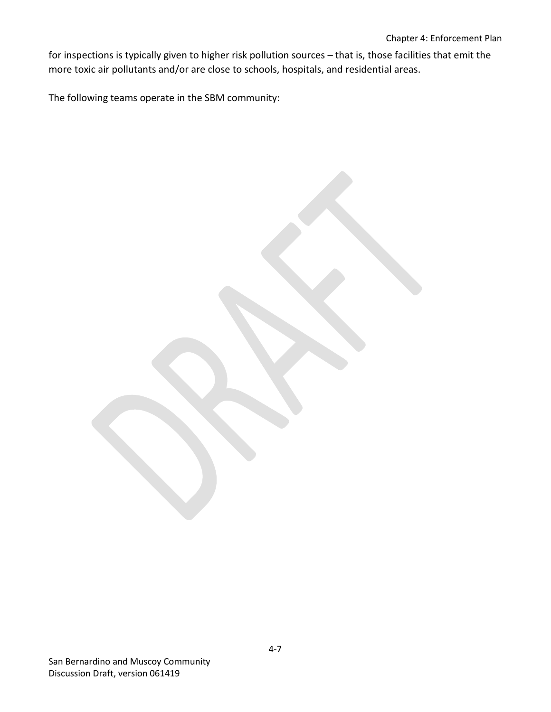for inspections is typically given to higher risk pollution sources – that is, those facilities that emit the more toxic air pollutants and/or are close to schools, hospitals, and residential areas.

The following teams operate in the SBM community: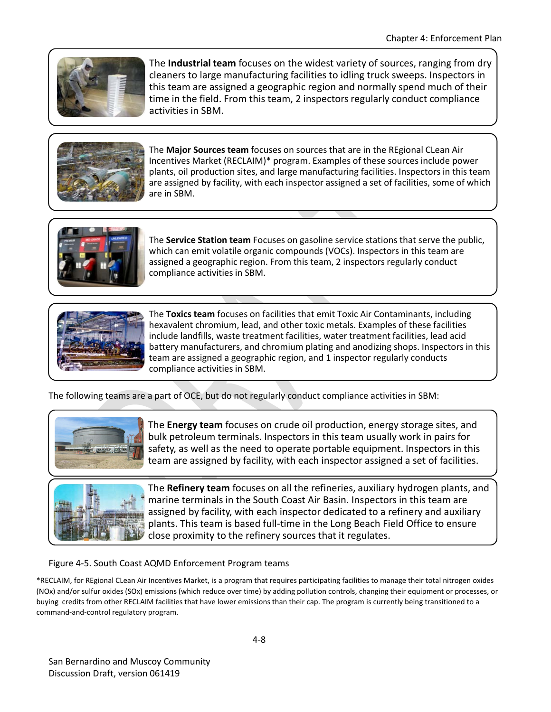

The **Industrial team** focuses on the widest variety of sources, ranging from dry cleaners to large manufacturing facilities to idling truck sweeps. Inspectors in this team are assigned a geographic region and normally spend much of their time in the field. From this team, 2 inspectors regularly conduct compliance activities in SBM.



The **Major Sources team** focuses on sources that are in the REgional CLean Air Incentives Market (RECLAIM)\* program. Examples of these sources include power plants, oil production sites, and large manufacturing facilities. Inspectors in this team are assigned by facility, with each inspector assigned a set of facilities, some of which are in SBM.



The **Service Station team** Focuses on gasoline service stations that serve the public, which can emit volatile organic compounds (VOCs). Inspectors in this team are assigned a geographic region. From this team, 2 inspectors regularly conduct compliance activities in SBM.



The **Toxics team** focuses on facilities that emit Toxic Air Contaminants, including hexavalent chromium, lead, and other toxic metals. Examples of these facilities include landfills, waste treatment facilities, water treatment facilities, lead acid battery manufacturers, and chromium plating and anodizing shops. Inspectors in this team are assigned a geographic region, and 1 inspector regularly conducts compliance activities in SBM.

The following teams are a part of OCE, but do not regularly conduct compliance activities in SBM:



The **Energy team** focuses on crude oil production, energy storage sites, and bulk petroleum terminals. Inspectors in this team usually work in pairs for safety, as well as the need to operate portable equipment. Inspectors in this team are assigned by facility, with each inspector assigned a set of facilities.



The **Refinery team** focuses on all the refineries, auxiliary hydrogen plants, and marine terminals in the South Coast Air Basin. Inspectors in this team are assigned by facility, with each inspector dedicated to a refinery and auxiliary plants. This team is based full-time in the Long Beach Field Office to ensure close proximity to the refinery sources that it regulates.

#### Figure 4-5. South Coast AQMD Enforcement Program teams

\*RECLAIM, for REgional CLean Air Incentives Market, is a program that requires participating facilities to manage their total nitrogen oxides (NOx) and/or sulfur oxides (SOx) emissions (which reduce over time) by adding pollution controls, changing their equipment or processes, or buying credits from other RECLAIM facilities that have lower emissions than their cap. The program is currently being transitioned to a command-and-control regulatory program.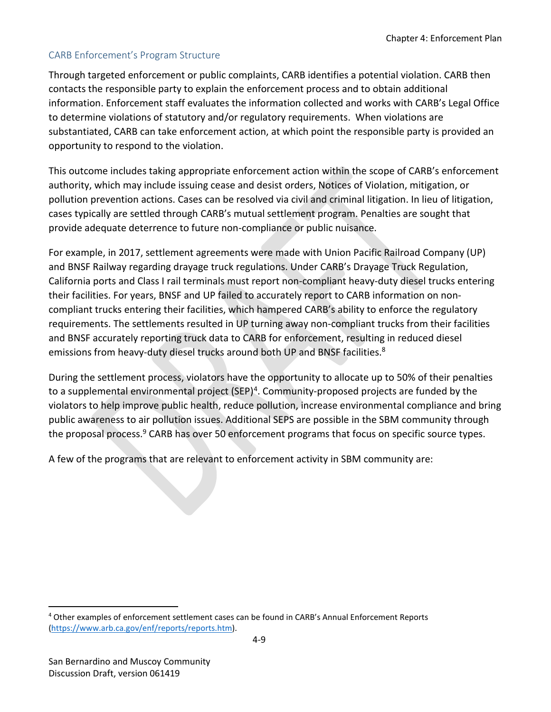#### CARB Enforcement's Program Structure

Through targeted enforcement or public complaints, CARB identifies a potential violation. CARB then contacts the responsible party to explain the enforcement process and to obtain additional information. Enforcement staff evaluates the information collected and works with CARB's Legal Office to determine violations of statutory and/or regulatory requirements. When violations are substantiated, CARB can take enforcement action, at which point the responsible party is provided an opportunity to respond to the violation.

This outcome includes taking appropriate enforcement action within the scope of CARB's enforcement authority, which may include issuing cease and desist orders, Notices of Violation, mitigation, or pollution prevention actions. Cases can be resolved via civil and criminal litigation. In lieu of litigation, cases typically are settled through CARB's mutual settlement program. Penalties are sought that provide adequate deterrence to future non-compliance or public nuisance.

For example, in 2017, settlement agreements were made with Union Pacific Railroad Company (UP) and BNSF Railway regarding drayage truck regulations. Under CARB's Drayage Truck Regulation, California ports and Class I rail terminals must report non-compliant heavy-duty diesel trucks entering their facilities. For years, BNSF and UP failed to accurately report to CARB information on noncompliant trucks entering their facilities, which hampered CARB's ability to enforce the regulatory requirements. The settlements resulted in UP turning away non-compliant trucks from their facilities and BNSF accurately reporting truck data to CARB for enforcement, resulting in reduced diesel emissions from heavy-duty diesel trucks around both UP and BNSF facilities.<sup>8</sup>

During the settlement process, violators have the opportunity to allocate up to 50% of their penalties to a supplemental environmental project (SEP)<sup>[4](#page-8-0)</sup>. Community-proposed projects are funded by the violators to help improve public health, reduce pollution, increase environmental compliance and bring public awareness to air pollution issues. Additional SEPS are possible in the SBM community through the proposal process.<sup>9</sup> CARB has over 50 enforcement programs that focus on specific source types.

A few of the programs that are relevant to enforcement activity in SBM community are:

 $\overline{\phantom{a}}$ 

<span id="page-8-0"></span><sup>4</sup> Other examples of enforcement settlement cases can be found in CARB's Annual Enforcement Reports [\(https://www.arb.ca.gov/enf/reports/reports.htm\)](https://www.arb.ca.gov/enf/reports/reports.htm).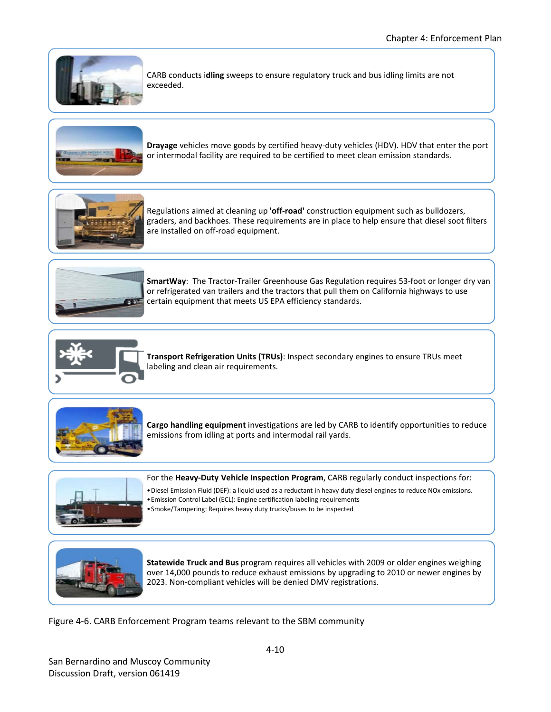

CARB conducts i**dling** sweeps to ensure regulatory truck and bus idling limits are not exceeded.



**Drayage** vehicles move goods by certified heavy-duty vehicles (HDV). HDV that enter the port or intermodal facility are required to be certified to meet clean emission standards.



Regulations aimed at cleaning up **'off-road'** construction equipment such as bulldozers, graders, and backhoes. These requirements are in place to help ensure that diesel soot filters are installed on off-road equipment.



**SmartWay**: The Tractor-Trailer Greenhouse Gas Regulation requires 53-foot or longer dry van or refrigerated van trailers and the tractors that pull them on California highways to use certain equipment that meets US EPA efficiency standards.



**Transport Refrigeration Units (TRUs)**: Inspect secondary engines to ensure TRUs meet labeling and clean air requirements.



**Cargo handling equipment** investigations are led by CARB to identify opportunities to reduce emissions from idling at ports and intermodal rail yards.



For the **Heavy-Duty Vehicle Inspection Program**, CARB regularly conduct inspections for:

•Diesel Emission Fluid (DEF): a liquid used as a reductant in heavy duty diesel engines to reduce NOx emissions. •Emission Control Label (ECL): Engine certification labeling requirements

•Smoke/Tampering: Requires heavy duty trucks/buses to be inspected



**Statewide Truck and Bus** program requires all vehicles with 2009 or older engines weighing over 14,000 pounds to reduce exhaust emissions by upgrading to 2010 or newer engines by 2023. Non-compliant vehicles will be denied DMV registrations.

Figure 4-6. CARB Enforcement Program teams relevant to the SBM community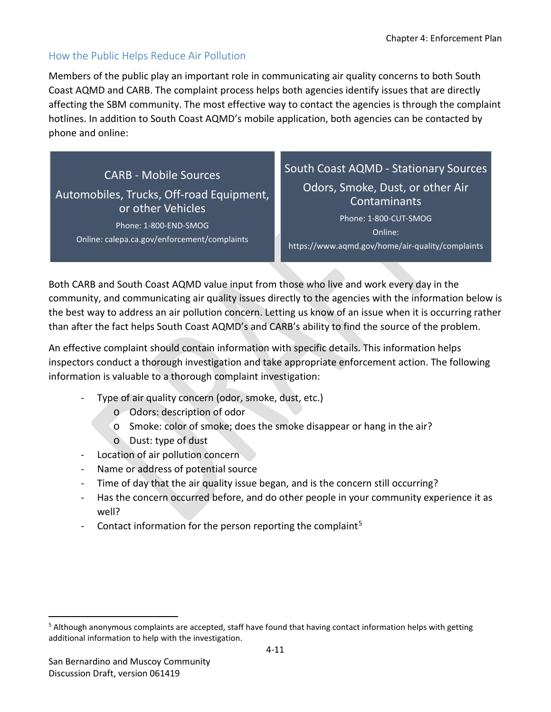## How the Public Helps Reduce Air Pollution

Members of the public play an important role in communicating air quality concerns to both South Coast AQMD and CARB. The complaint process helps both agencies identify issues that are directly affecting the SBM community. The most effective way to contact the agencies is through the complaint hotlines. In addition to South Coast AQMD's mobile application, both agencies can be contacted by phone and online:

CARB - Mobile Sources Automobiles, Trucks, Off-road Equipment, or other Vehicles

Phone: 1-800-END-SMOG Online: calepa.ca.gov/enforcement/complaints South Coast AQMD - Stationary Sources Odors, Smoke, Dust, or other Air Contaminants Phone: 1-800-CUT-SMOG Online: https://www.aqmd.gov/home/air-quality/complaints

Both CARB and South Coast AQMD value input from those who live and work every day in the community, and communicating air quality issues directly to the agencies with the information below is the best way to address an air pollution concern. Letting us know of an issue when it is occurring rather than after the fact helps South Coast AQMD's and CARB's ability to find the source of the problem.

An effective complaint should contain information with specific details. This information helps inspectors conduct a thorough investigation and take appropriate enforcement action. The following information is valuable to a thorough complaint investigation:

- Type of air quality concern (odor, smoke, dust, etc.)
	- o Odors: description of odor
	- o Smoke: color of smoke; does the smoke disappear or hang in the air?
	- o Dust: type of dust
- Location of air pollution concern
- Name or address of potential source
- Time of day that the air quality issue began, and is the concern still occurring?
- Has the concern occurred before, and do other people in your community experience it as well?
- Contact information for the person reporting the complaint<sup>[5](#page-10-0)</sup>

l

<span id="page-10-0"></span><sup>&</sup>lt;sup>5</sup> Although anonymous complaints are accepted, staff have found that having contact information helps with getting additional information to help with the investigation.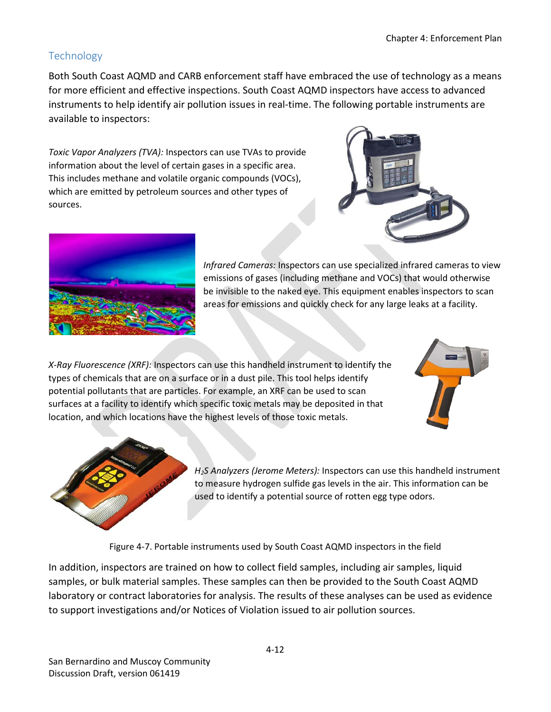## **Technology**

Both South Coast AQMD and CARB enforcement staff have embraced the use of technology as a means for more efficient and effective inspections. South Coast AQMD inspectors have access to advanced instruments to help identify air pollution issues in real-time. The following portable instruments are available to inspectors:

*Toxic Vapor Analyzers (TVA):* Inspectors can use TVAs to provide information about the level of certain gases in a specific area. This includes methane and volatile organic compounds (VOCs), which are emitted by petroleum sources and other types of sources.





*Infrared Cameras:* Inspectors can use specialized infrared cameras to view emissions of gases (including methane and VOCs) that would otherwise be invisible to the naked eye. This equipment enables inspectors to scan areas for emissions and quickly check for any large leaks at a facility.

*X-Ray Fluorescence (XRF):* Inspectors can use this handheld instrument to identify the types of chemicals that are on a surface or in a dust pile. This tool helps identify potential pollutants that are particles. For example, an XRF can be used to scan surfaces at a facility to identify which specific toxic metals may be deposited in that location, and which locations have the highest levels of those toxic metals.





*H2S Analyzers (Jerome Meters):* Inspectors can use this handheld instrument to measure hydrogen sulfide gas levels in the air. This information can be used to identify a potential source of rotten egg type odors.

Figure 4-7. Portable instruments used by South Coast AQMD inspectors in the field

In addition, inspectors are trained on how to collect field samples, including air samples, liquid samples, or bulk material samples. These samples can then be provided to the South Coast AQMD laboratory or contract laboratories for analysis. The results of these analyses can be used as evidence to support investigations and/or Notices of Violation issued to air pollution sources.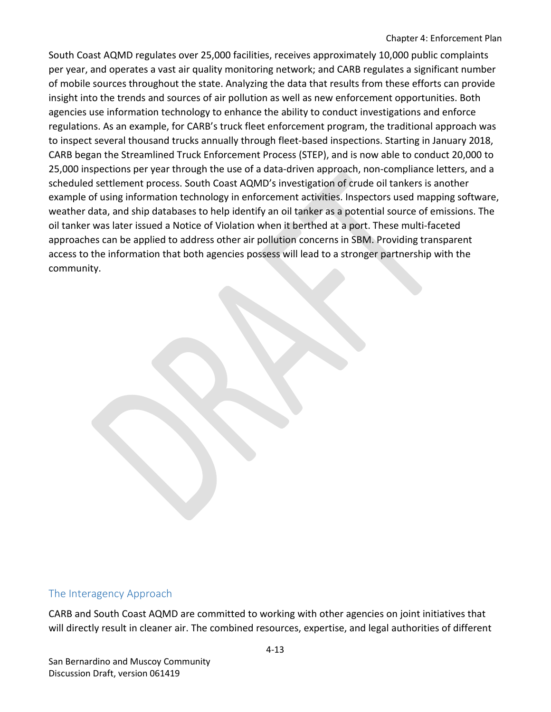South Coast AQMD regulates over 25,000 facilities, receives approximately 10,000 public complaints per year, and operates a vast air quality monitoring network; and CARB regulates a significant number of mobile sources throughout the state. Analyzing the data that results from these efforts can provide insight into the trends and sources of air pollution as well as new enforcement opportunities. Both agencies use information technology to enhance the ability to conduct investigations and enforce regulations. As an example, for CARB's truck fleet enforcement program, the traditional approach was to inspect several thousand trucks annually through fleet-based inspections. Starting in January 2018, CARB began the Streamlined Truck Enforcement Process (STEP), and is now able to conduct 20,000 to 25,000 inspections per year through the use of a data-driven approach, non-compliance letters, and a scheduled settlement process. South Coast AQMD's investigation of crude oil tankers is another example of using information technology in enforcement activities. Inspectors used mapping software, weather data, and ship databases to help identify an oil tanker as a potential source of emissions. The oil tanker was later issued a Notice of Violation when it berthed at a port. These multi-faceted approaches can be applied to address other air pollution concerns in SBM. Providing transparent access to the information that both agencies possess will lead to a stronger partnership with the community.

#### The Interagency Approach

CARB and South Coast AQMD are committed to working with other agencies on joint initiatives that will directly result in cleaner air. The combined resources, expertise, and legal authorities of different